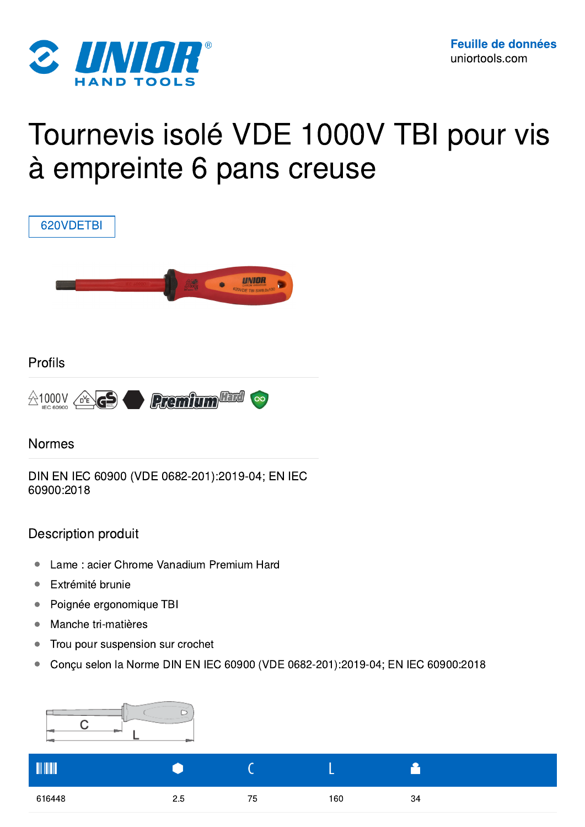

# Tournevis isolé VDE 1000V TBI pour vis à empreinte 6 pans creuse



- Lame: acier Chrome Vanadium Premium Hard
- Extrémité brunie
- Poignée ergonomique TBI
- Manche tri-matières
- Trou pour suspension sur crochet
- Conçu selon la Norme DIN EN IEC 60900 (VDE 0682-201):2019-04; EN IEC 60900:2018



| <b>TILITILI</b> |          |    |     |    |
|-----------------|----------|----|-----|----|
| 616448          | C<br>2.5 | 75 | 160 | 34 |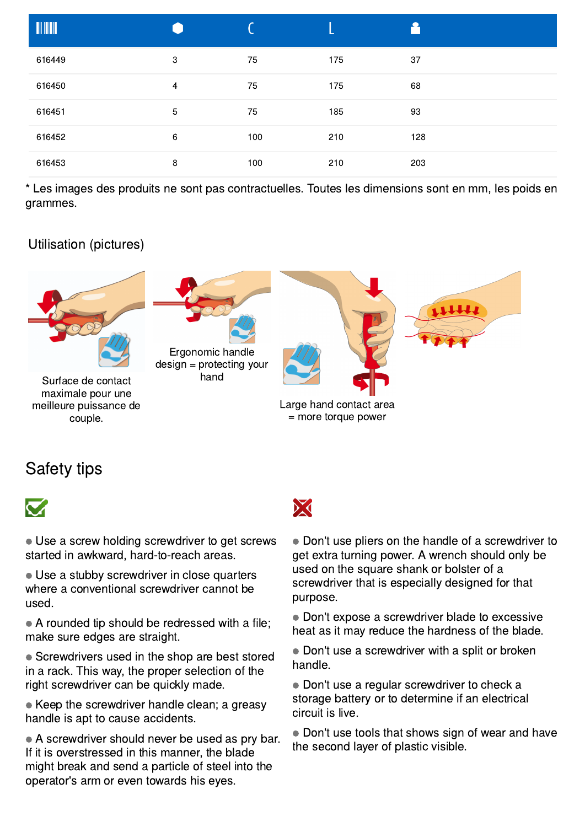| <b>TILLE</b> |                |     |     |     |
|--------------|----------------|-----|-----|-----|
| 616449       | $\sqrt{3}$     | 75  | 175 | 37  |
| 616450       | $\overline{4}$ | 75  | 175 | 68  |
| 616451       | 5              | 75  | 185 | 93  |
| 616452       | $\,6\,$        | 100 | 210 | 128 |
| 616453       | 8              | 100 | 210 | 203 |

\* Les images des produits ne sont pas contractuelles. Toutes les dimensions sont en mm, les poids en grammes.

## Utilisation (pictures)



# Safety tips



● Use a screw holding screwdriver to get screws started in awkward, hard-to-reach areas.

• Use a stubby screwdriver in close quarters where a conventional screwdriver cannot be used.

 $\bullet$  A rounded tip should be redressed with a file; make sure edges are straight.

• Screwdrivers used in the shop are best stored in a rack. This way, the proper selection of the right screwdriver can be quickly made.

 $\bullet$  Keep the screwdriver handle clean; a greasy handle is apt to cause accidents.

 $\bullet$  A screwdriver should never be used as pry bar. If it is overstressed in this manner, the blade might break and send a particle of steel into the operator's arm or even towards his eyes.

● Don't use pliers on the handle of a screwdriver to get extra turning power. A wrench should only be used on the square shank or bolster of a screwdriver that is especially designed for that purpose.

● Don't expose a screwdriver blade to excessive heat as it may reduce the hardness of the blade.

• Don't use a screwdriver with a split or broken handle.

• Don't use a regular screwdriver to check a storage battery or to determine if an electrical circuit is live.

• Don't use tools that shows sign of wear and have the second layer of plastic visible.